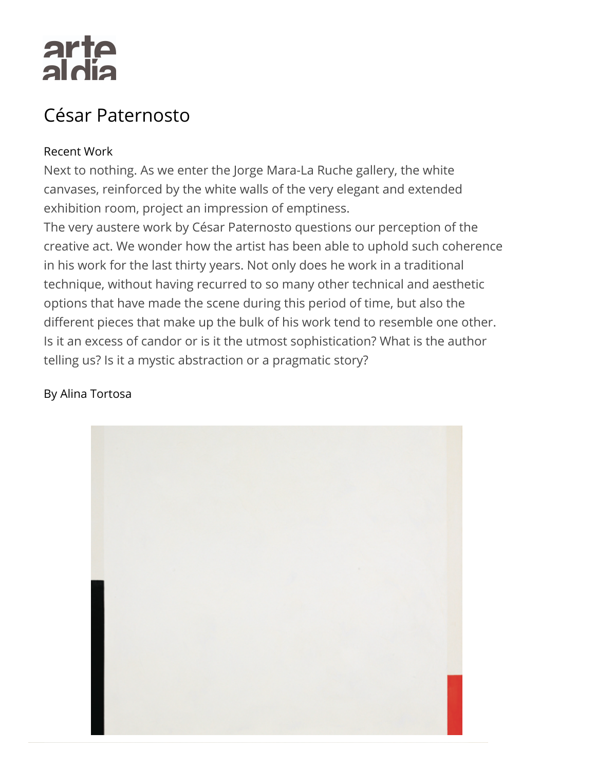# arte<br>aldia

## César Paternosto

### Recent Work

Next to nothing. As we enter the Jorge Mara-La Ruche gallery, the white canvases, reinforced by the white walls of the very elegant and extended exhibition room, project an impression of emptiness.

The very austere work by César Paternosto questions our perception of the creative act. We wonder how the artist has been able to uphold such coheren[ce](http://www.buenosairesphoto.com/) in his work for the last thirty years. Not only does he work in a traditional technique, without having recurred to so many other technical and aesthetic options that have made the scene during this period of time, but also the different pieces that make up the bulk of his work tend to resemble one other. Is it an excess of candor or is it the utmost sophistication? What is the author telling us? Is it a mystic abstraction or a pragmatic story?

#### By Alina Tortosa

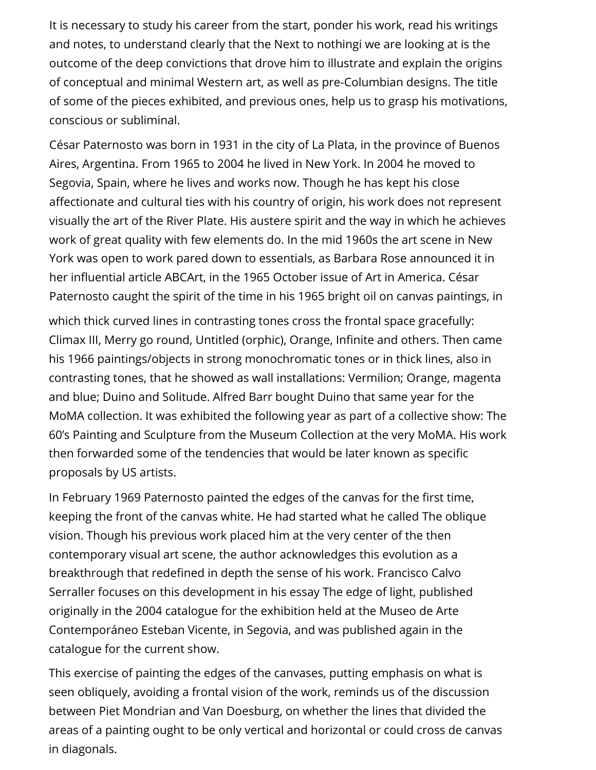It is necessary to study his career from the start, ponder his work, read his writings and notes, to understand clearly that the Next to nothingi we are looking at is the outcome of the deep convictions that drove him to illustrate and explain the origins of conceptual and minimal Western art, as well as pre-Columbian designs. The title of some of the pieces exhibited, and previous ones, help us to grasp his motivations, conscious or subliminal.

César Paternosto was born in 1931 in the city of La Plata, in the province of Buenos Aires, Argentina. From 1965 to 2004 he lived in New York. In 2004 he moved to Segovia, Spain, where he lives and works now. Though he has kept his close affectionate and cultural ties with his country of origin, his work does not represent visually the art of the River Plate. His austere spirit and the way in which he achieves work of great quality with few elements do. In the mid 1960s the art scene in New York was open to work pared down to essentials, as Barbara Rose announced it in her influential article ABCArt, in the 1965 October issue of Art in America. César Paternosto caught the spirit of the time in his 1965 bright oil on canvas paintings, in

which thick curved lines in contrasting tones cross the frontal space gracefully: Climax III, Merry go round, Untitled (orphic), Orange, Infinite and others. Then came his 1966 paintings/objects in strong monochromatic tones or in thick lines, also in contrasting tones, that he showed as wall installations: Vermilion; Orange, magenta and blue; Duino and Solitude. Alfred Barr bought Duino that same year for the MoMA collection. It was exhibited the following year as part of a collective show: The 60's Painting and Sculpture from the Museum Collection at the very Mo[MA. H](https://www.facebook.com/sharer/sharer.php?u=http://www.artealdia.com/International/Contents/Artists/Ce_sar_Paternosto)[is wo](https://twitter.com/home?status=http://www.artealdia.com/International/Contents/Artists/Ce_sar_Paternosto)rk then forwarded some of the tendencies that would be later known as specific proposals by US artists.

In February 1969 Paternosto painted the edges of the canvas for the first time, keeping the front of the canvas white. He had started what he called The oblique vision. Though his previous work placed him at the very center of the then contemporary visual art scene, the author acknowledges this evolution as a breakthrough that redefined in depth the sense of his work. Francisco Calvo Serraller focuses on this development in his essay The edge of light, published originally in the 2004 catalogue for the exhibition held at the Museo de Arte Contemporáneo Esteban Vicente, in Segovia, and was published again in the catalogue for the current show.

This exercise of painting the edges of the canvases, putting emphasis on what is seen obliquely, avoiding a frontal vision of the work, reminds us of the discussion between Piet Mondrian and Van Doesburg, on whether the lines that divided the areas of a painting ought to be only vertical and horizontal or could cross de canvas in diagonals.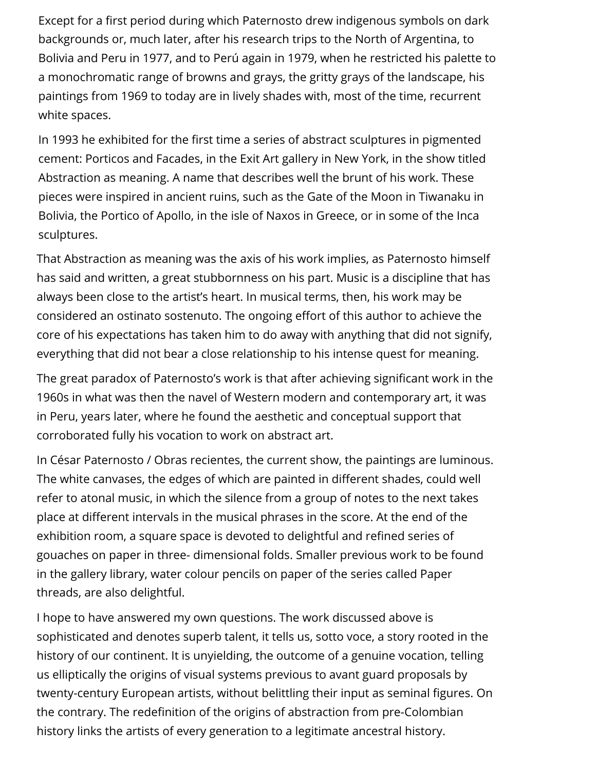Except for a first period during which Paternosto drew indigenous symbols on dark backgrounds or, much later, after his research trips to the North of Argentina, to Bolivia and Peru in 1977, and to Perú again in 1979, when he restricted his palette to a monochromatic range of browns and grays, the gritty grays of the landscape, his paintings from 1969 to today are in lively shades with, most of the time, recurrent white spaces.

In 1993 he exhibited for the first time a series of abstract sculptures in pigmented cement: Porticos and Facades, in the Exit Art gallery in New York, in the show titled Abstraction as meaning. A name that describes well the brunt of his work. These pieces were inspired in ancient ruins, such as the Gate of the Moon in Tiwanaku in Bolivia, the Portico of Apollo, in the isle of Naxos in Greece, or in some of the Inca sculptures.

That Abstraction as meaning was the axis of his work implies, as Paternosto himself has said and written, a great stubbornness on his part. Music is a discipline that has always been close to the artist's heart. In musical terms, then, his work may be considered an ostinato sostenuto. The ongoing effort of this author to achieve the core of his expectations has taken him to do away with anything that did not signify, everything that did not bear a close relationship to his intense quest for meaning.

The great paradox of Paternosto's work is that after achieving significant work in the 1960s in what was then the navel of Western modern and contemporary art, it was in Peru, years later, where he found the aesthetic and conceptual support that corroborated fully his vocation to work on abstract art.

In César Paternosto / Obras recientes, the current show, the paintings are luminous. The white canvases, the edges of which are painted in different shades, could well refer to atonal music, in which the silence from a group of notes to the next takes place at different intervals in the musical phrases in the score. At the end of the exhibition room, a square space is devoted to delightful and refined series of gouaches on paper in three- dimensional folds. Smaller previous work to be found in the gallery library, water colour pencils on paper of the series called Paper threads, are also delightful.

I hope to have answered my own questions. The work discussed above is sophisticated and denotes superb talent, it tells us, sotto voce, a story rooted in the history of our continent. It is unyielding, the outcome of a genuine vocation, telling us elliptically the origins of visual systems previous to avant guard proposals by twenty-century European artists, without belittling their input as seminal figures. On the contrary. The redefinition of the origins of abstraction from pre-Colombian history links the artists of every generation to a legitimate ancestral history.